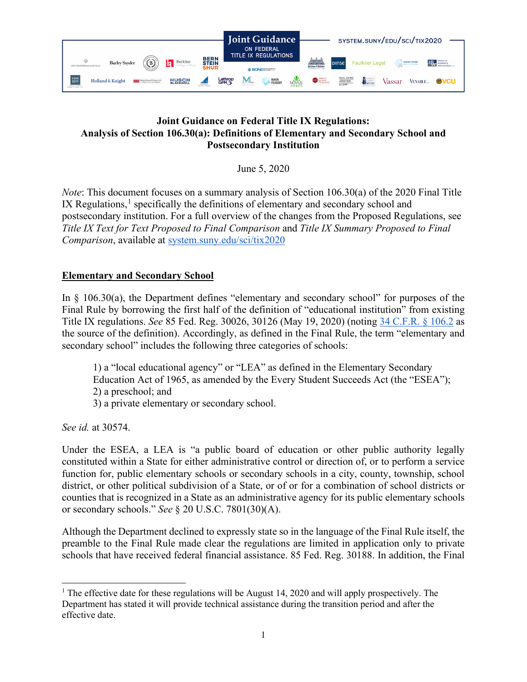

## **Joint Guidance on Federal Title IX Regulations: Analysis of Section 106.30(a): Definitions of Elementary and Secondary School and Postsecondary Institution**

June 5, 2020

*Note*: This document focuses on a summary analysis of Section 106.30(a) of the 2020 Final Title IX Regulations,<sup>[1](#page-0-0)</sup> specifically the definitions of elementary and secondary school and postsecondary institution. For a full overview of the changes from the Proposed Regulations, see *Title IX Text for Text Proposed to Final Comparison* and *Title IX Summary Proposed to Final Comparison*, available at [system.suny.edu/sci/tix2020](https://system.suny.edu/sci/tix2020/)

## **Elementary and Secondary School**

In § 106.30(a), the Department defines "elementary and secondary school" for purposes of the Final Rule by borrowing the first half of the definition of "educational institution" from existing Title IX regulations. *See* 85 Fed. Reg. 30026, 30126 (May 19, 2020) (noting [34 C.F.R. § 106.2](https://www2.ed.gov/policy/rights/reg/ocr/edlite-34cfr106.html) as the source of the definition). Accordingly, as defined in the Final Rule, the term "elementary and secondary school" includes the following three categories of schools:

1) a "local educational agency" or "LEA" as defined in the Elementary Secondary Education Act of 1965, as amended by the Every Student Succeeds Act (the "ESEA"); 2) a preschool; and 3) a private elementary or secondary school.

*See id.* at 30574.

Under the ESEA, a LEA is "a public board of education or other public authority legally constituted within a State for either administrative control or direction of, or to perform a service function for, public elementary schools or secondary schools in a city, county, township, school district, or other political subdivision of a State, or of or for a combination of school districts or counties that is recognized in a State as an administrative agency for its public elementary schools or secondary schools." *See* § 20 U.S.C. 7801(30)(A).

Although the Department declined to expressly state so in the language of the Final Rule itself, the preamble to the Final Rule made clear the regulations are limited in application only to private schools that have received federal financial assistance. 85 Fed. Reg. 30188. In addition, the Final

<span id="page-0-0"></span><sup>&</sup>lt;sup>1</sup> The effective date for these regulations will be August 14, 2020 and will apply prospectively. The Department has stated it will provide technical assistance during the transition period and after the effective date.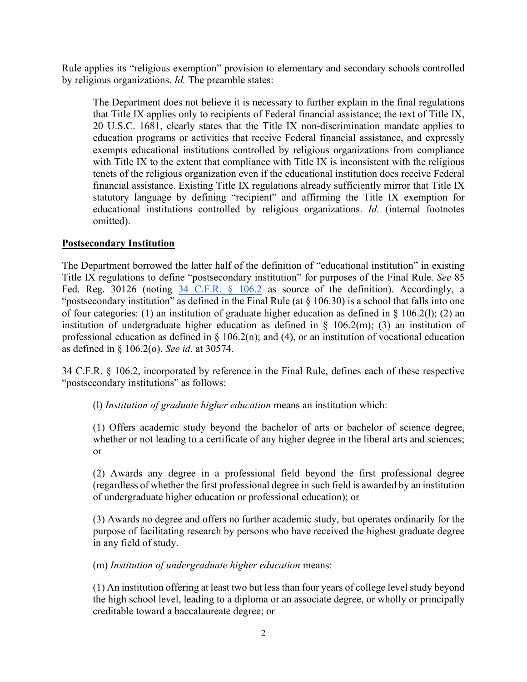Rule applies its "religious exemption" provision to elementary and secondary schools controlled by religious organizations. *Id.* The preamble states:

The Department does not believe it is necessary to further explain in the final regulations that Title IX applies only to recipients of Federal financial assistance; the text of Title IX, 20 U.S.C. 1681, clearly states that the Title IX non-discrimination mandate applies to education programs or activities that receive Federal financial assistance, and expressly exempts educational institutions controlled by religious organizations from compliance with Title IX to the extent that compliance with Title IX is inconsistent with the religious tenets of the religious organization even if the educational institution does receive Federal financial assistance. Existing Title IX regulations already sufficiently mirror that Title IX statutory language by defining "recipient" and affirming the Title IX exemption for educational institutions controlled by religious organizations. *Id.* (internal footnotes omitted).

## **Postsecondary Institution**

The Department borrowed the latter half of the definition of "educational institution" in existing Title IX regulations to define "postsecondary institution" for purposes of the Final Rule. *See* 85 Fed. Reg. 30126 (noting [34 C.F.R. § 106.2](https://www.govinfo.gov/app/details/FR-2020-05-19/2020-10512) as source of the definition). Accordingly, a "postsecondary institution" as defined in the Final Rule (at  $\S$  106.30) is a school that falls into one of four categories: (1) an institution of graduate higher education as defined in § 106.2(l); (2) an institution of undergraduate higher education as defined in  $\S$  106.2(m); (3) an institution of professional education as defined in  $\S$  106.2(n); and (4), or an institution of vocational education as defined in § 106.2(o). *See id.* at 30574.

34 C.F.R. § 106.2, incorporated by reference in the Final Rule, defines each of these respective "postsecondary institutions" as follows:

(l) *Institution of graduate higher education* means an institution which:

(1) Offers academic study beyond the bachelor of arts or bachelor of science degree, whether or not leading to a certificate of any higher degree in the liberal arts and sciences; or

(2) Awards any degree in a professional field beyond the first professional degree (regardless of whether the first professional degree in such field is awarded by an institution of undergraduate higher education or professional education); or

(3) Awards no degree and offers no further academic study, but operates ordinarily for the purpose of facilitating research by persons who have received the highest graduate degree in any field of study.

(m) *Institution of undergraduate higher education* means:

(1) An institution offering at least two but less than four years of college level study beyond the high school level, leading to a diploma or an associate degree, or wholly or principally creditable toward a baccalaureate degree; or